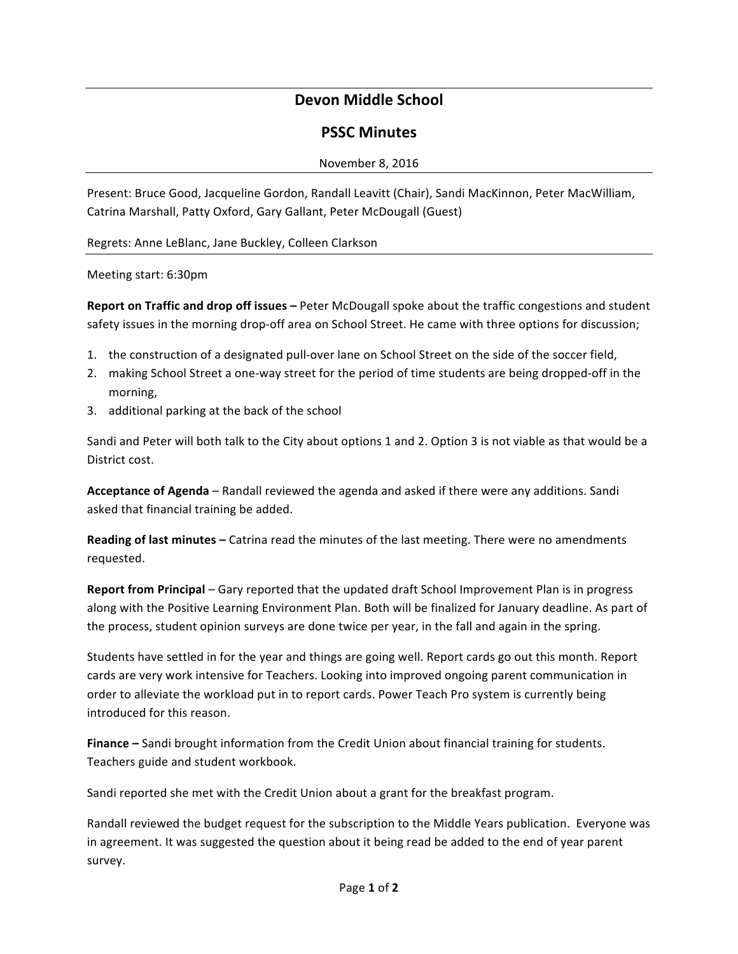# **Devon Middle School**

# **PSSC Minutes**

## November 8, 2016

Present: Bruce Good, Jacqueline Gordon, Randall Leavitt (Chair), Sandi MacKinnon, Peter MacWilliam, Catrina Marshall, Patty Oxford, Gary Gallant, Peter McDougall (Guest)

Regrets: Anne LeBlanc, Jane Buckley, Colleen Clarkson

Meeting start: 6:30pm

**Report on Traffic and drop off issues** – Peter McDougall spoke about the traffic congestions and student safety issues in the morning drop-off area on School Street. He came with three options for discussion;

- 1. the construction of a designated pull-over lane on School Street on the side of the soccer field,
- 2. making School Street a one-way street for the period of time students are being dropped-off in the morning,
- 3. additional parking at the back of the school

Sandi and Peter will both talk to the City about options 1 and 2. Option 3 is not viable as that would be a District cost.

**Acceptance of Agenda** – Randall reviewed the agenda and asked if there were any additions. Sandi asked that financial training be added.

**Reading of last minutes** – Catrina read the minutes of the last meeting. There were no amendments requested. 

**Report from Principal** – Gary reported that the updated draft School Improvement Plan is in progress along with the Positive Learning Environment Plan. Both will be finalized for January deadline. As part of the process, student opinion surveys are done twice per year, in the fall and again in the spring.

Students have settled in for the year and things are going well. Report cards go out this month. Report cards are very work intensive for Teachers. Looking into improved ongoing parent communication in order to alleviate the workload put in to report cards. Power Teach Pro system is currently being introduced for this reason.

**Finance** – Sandi brought information from the Credit Union about financial training for students. Teachers guide and student workbook.

Sandi reported she met with the Credit Union about a grant for the breakfast program.

Randall reviewed the budget request for the subscription to the Middle Years publication. Everyone was in agreement. It was suggested the question about it being read be added to the end of year parent survey.